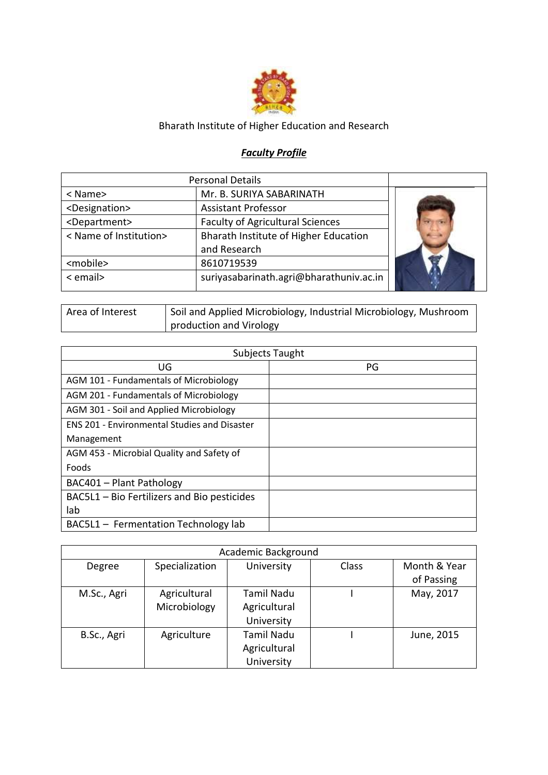

## Bharath Institute of Higher Education and Research

## *Faculty Profile*

|                             | <b>Personal Details</b>                 |  |
|-----------------------------|-----------------------------------------|--|
| < Name>                     | Mr. B. SURIYA SABARINATH                |  |
| <designation></designation> | <b>Assistant Professor</b>              |  |
| <department></department>   | <b>Faculty of Agricultural Sciences</b> |  |
| < Name of Institution>      | Bharath Institute of Higher Education   |  |
|                             | and Research                            |  |
| <mobile></mobile>           | 8610719539                              |  |
| < email>                    | suriyasabarinath.agri@bharathuniv.ac.in |  |

| Area of Interest | Soil and Applied Microbiology, Industrial Microbiology, Mushroom |
|------------------|------------------------------------------------------------------|
|                  | production and Virology                                          |

|                                                     | <b>Subjects Taught</b> |
|-----------------------------------------------------|------------------------|
| UG                                                  | PG                     |
| AGM 101 - Fundamentals of Microbiology              |                        |
| AGM 201 - Fundamentals of Microbiology              |                        |
| AGM 301 - Soil and Applied Microbiology             |                        |
| <b>ENS 201 - Environmental Studies and Disaster</b> |                        |
| Management                                          |                        |
| AGM 453 - Microbial Quality and Safety of           |                        |
| Foods                                               |                        |
| BAC401 - Plant Pathology                            |                        |
| BAC5L1 - Bio Fertilizers and Bio pesticides         |                        |
| lab                                                 |                        |
| BAC5L1 - Fermentation Technology lab                |                        |

|             |                | Academic Background |       |              |
|-------------|----------------|---------------------|-------|--------------|
| Degree      | Specialization | University          | Class | Month & Year |
|             |                |                     |       | of Passing   |
| M.Sc., Agri | Agricultural   | Tamil Nadu          |       | May, 2017    |
|             | Microbiology   | Agricultural        |       |              |
|             |                | University          |       |              |
| B.Sc., Agri | Agriculture    | <b>Tamil Nadu</b>   |       | June, 2015   |
|             |                | Agricultural        |       |              |
|             |                | University          |       |              |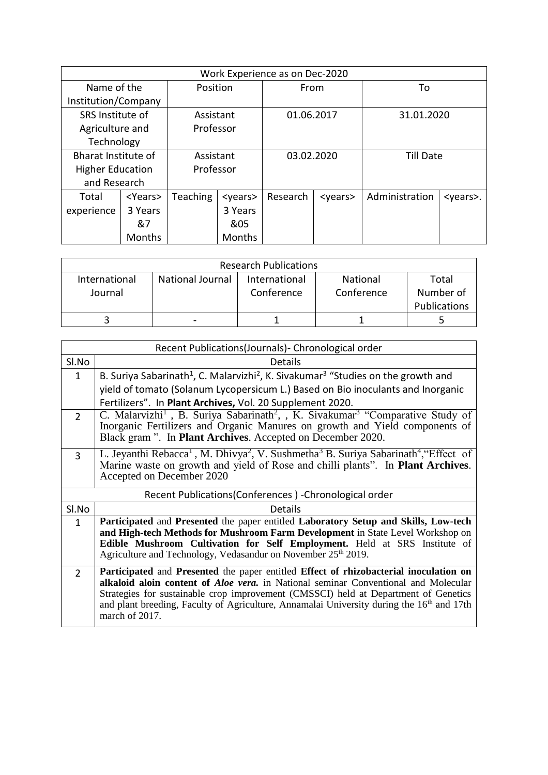|                         | Work Experience as on Dec-2020 |                 |                 |            |                 |                  |                  |
|-------------------------|--------------------------------|-----------------|-----------------|------------|-----------------|------------------|------------------|
| Name of the             |                                | Position        |                 | From       |                 | To               |                  |
| Institution/Company     |                                |                 |                 |            |                 |                  |                  |
| SRS Institute of        |                                | Assistant       |                 | 01.06.2017 |                 | 31.01.2020       |                  |
| Agriculture and         |                                | Professor       |                 |            |                 |                  |                  |
| Technology              |                                |                 |                 |            |                 |                  |                  |
| Bharat Institute of     |                                | Assistant       |                 | 03.02.2020 |                 | <b>Till Date</b> |                  |
| <b>Higher Education</b> |                                | Professor       |                 |            |                 |                  |                  |
| and Research            |                                |                 |                 |            |                 |                  |                  |
| Total                   | <years></years>                | <b>Teaching</b> | <years></years> | Research   | <years></years> | Administration   | <years>.</years> |
| experience              | 3 Years                        |                 | 3 Years         |            |                 |                  |                  |
|                         | &7                             |                 | &05             |            |                 |                  |                  |
|                         | Months                         |                 | <b>Months</b>   |            |                 |                  |                  |

|                          |                         | <b>Research Publications</b> |                        |                                    |
|--------------------------|-------------------------|------------------------------|------------------------|------------------------------------|
| International<br>Journal | <b>National Journal</b> | International<br>Conference  | National<br>Conference | Total<br>Number of<br>Publications |
|                          |                         |                              |                        |                                    |

|                | Recent Publications(Journals) - Chronological order                                                                                                                                                                                                                                                                                                                                            |
|----------------|------------------------------------------------------------------------------------------------------------------------------------------------------------------------------------------------------------------------------------------------------------------------------------------------------------------------------------------------------------------------------------------------|
| Sl.No          | Details                                                                                                                                                                                                                                                                                                                                                                                        |
| 1              | B. Suriya Sabarinath <sup>1</sup> , C. Malarvizhi <sup>2</sup> , K. Sivakumar <sup>3</sup> "Studies on the growth and                                                                                                                                                                                                                                                                          |
|                | yield of tomato (Solanum Lycopersicum L.) Based on Bio inoculants and Inorganic                                                                                                                                                                                                                                                                                                                |
|                | Fertilizers". In Plant Archives, Vol. 20 Supplement 2020.                                                                                                                                                                                                                                                                                                                                      |
| $\mathcal{P}$  | C. Malarvizhi <sup>1</sup> , B. Suriya Sabarinath <sup>2</sup> , , K. Sivakumar <sup>3</sup> "Comparative Study of<br>Inorganic Fertilizers and Organic Manures on growth and Yield components of<br>Black gram ". In <b>Plant Archives</b> . Accepted on December 2020.                                                                                                                       |
| $\overline{3}$ | L. Jeyanthi Rebacca <sup>1</sup> , M. Dhivya <sup>2</sup> , V. Sushmetha <sup>3</sup> B. Suriya Sabarinath <sup>4</sup> , "Effect of<br>Marine waste on growth and yield of Rose and chilli plants". In Plant Archives.<br>Accepted on December 2020                                                                                                                                           |
|                | Recent Publications (Conferences) - Chronological order                                                                                                                                                                                                                                                                                                                                        |
| SI.No          | <b>Details</b>                                                                                                                                                                                                                                                                                                                                                                                 |
| $\mathbf{1}$   | Participated and Presented the paper entitled Laboratory Setup and Skills, Low-tech<br>and High-tech Methods for Mushroom Farm Development in State Level Workshop on<br>Edible Mushroom Cultivation for Self Employment. Held at SRS Institute of<br>Agriculture and Technology, Vedasandur on November 25th 2019.                                                                            |
| $\overline{2}$ | Participated and Presented the paper entitled Effect of rhizobacterial inoculation on<br>alkaloid aloin content of Aloe vera. in National seminar Conventional and Molecular<br>Strategies for sustainable crop improvement (CMSSCI) held at Department of Genetics<br>and plant breeding, Faculty of Agriculture, Annamalai University during the 16 <sup>th</sup> and 17th<br>march of 2017. |